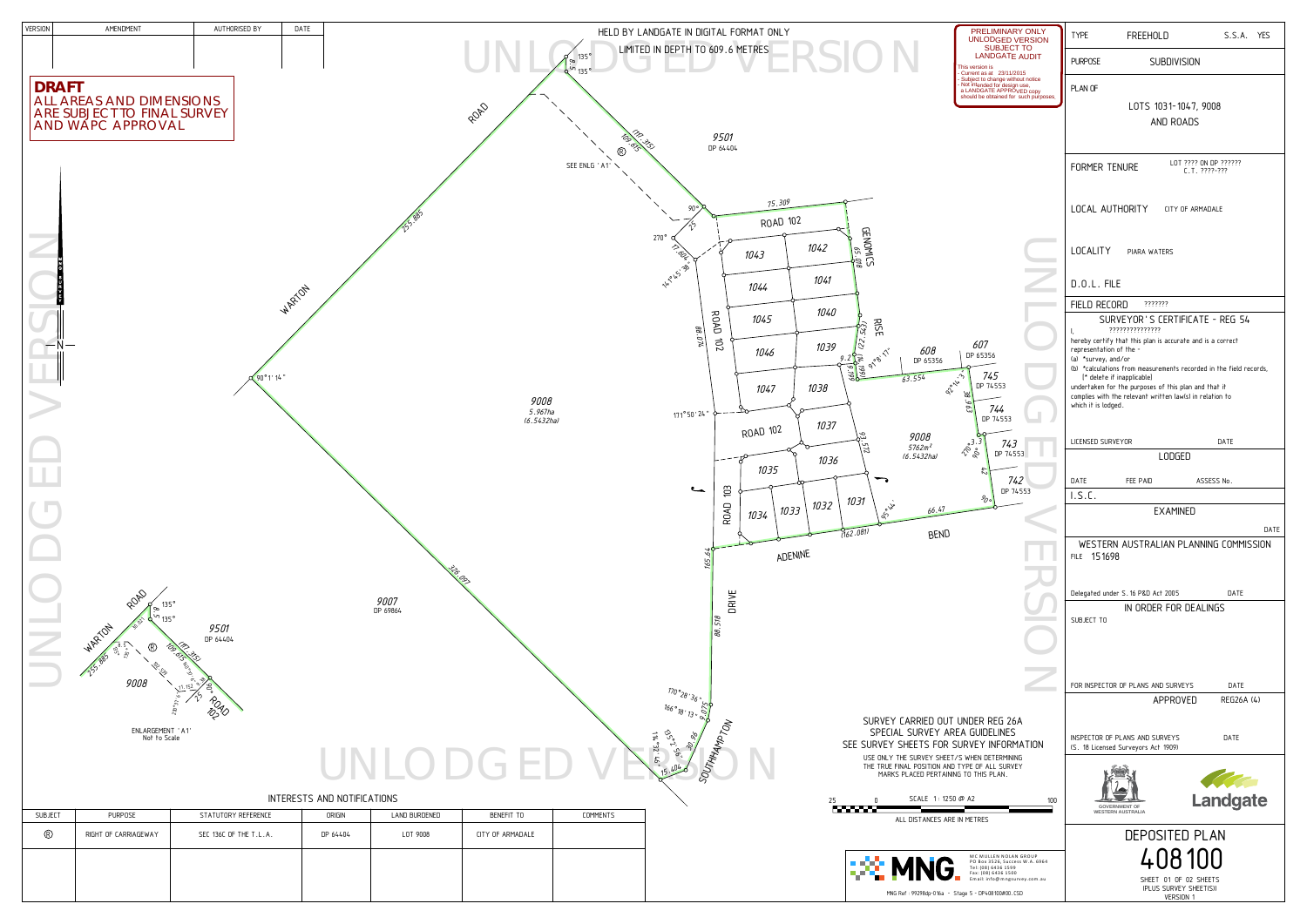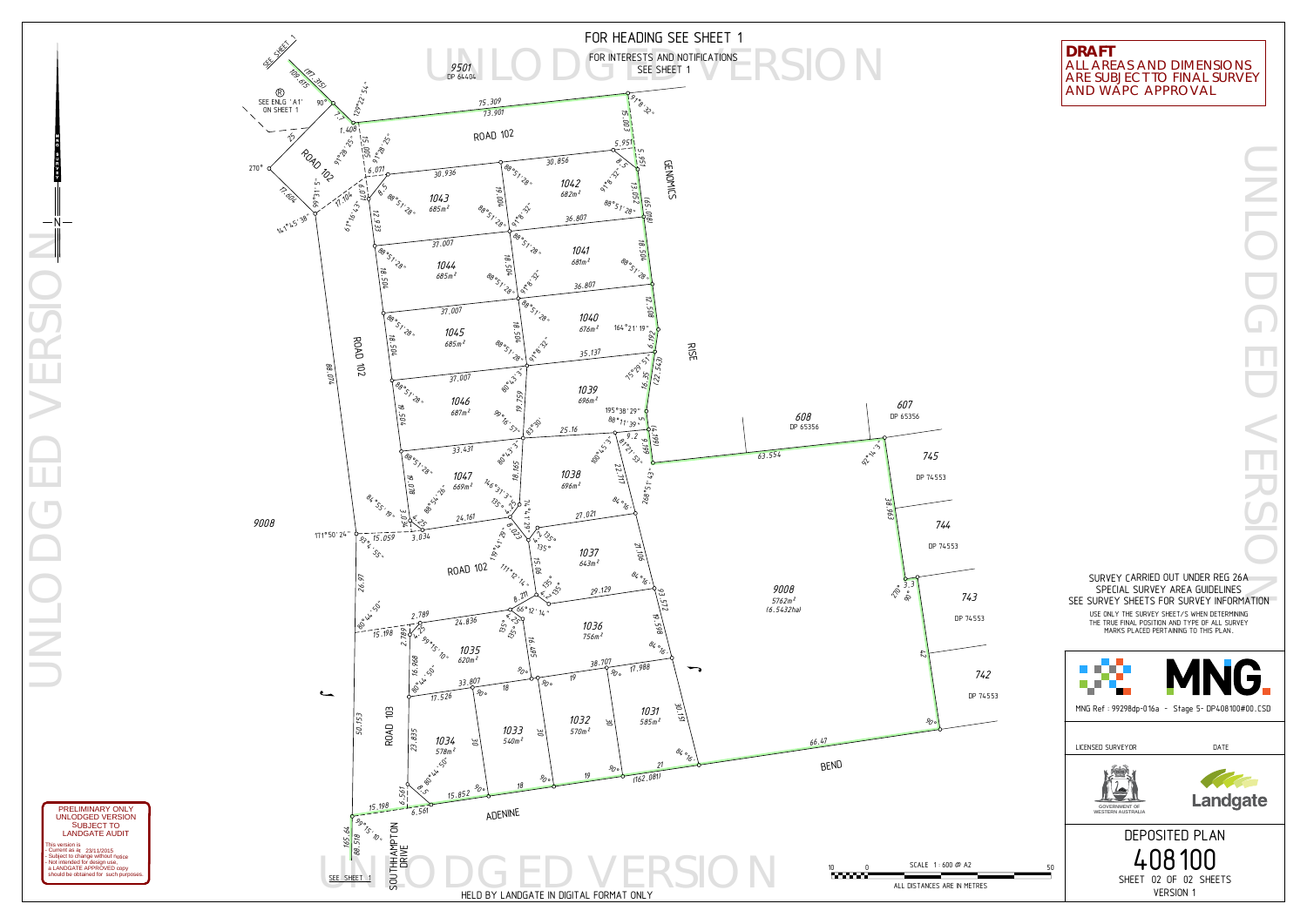UNLODGED VERSION  $-N-$ 



YEVRUGNM

This version is LANDGATE AUDIT SUBJECT TOUNLODGED VERSION PRELIMINARY ONLY

- Current as at 23/11/2015<br>- Subject to change without notice<br>- Not intended for design use,<br>- a LANDGATE APPROVED copy